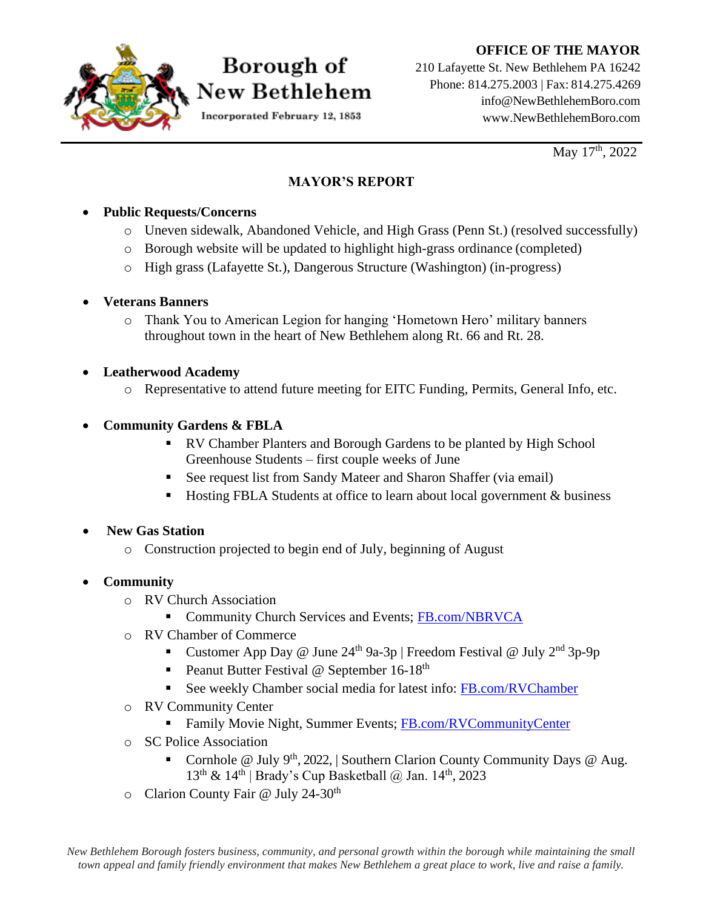#### **OFFICE OF THE MAYOR**



# Borough of New Bethlehem

Incorporated February 12, 1853

210 Lafayette St. New Bethlehem PA 16242 Phone: 814.275.2003 | Fax: 814.275.4269 [info@NewBethlehemBoro.com](mailto:info@NewBethlehemBoro.com) [www.NewBethlehemBoro.com](http://www.newbethlehemboro.com/)

May  $17<sup>th</sup>$ , 2022

### **MAYOR'S REPORT**

#### • **Public Requests/Concerns**

- o Uneven sidewalk, Abandoned Vehicle, and High Grass (Penn St.) (resolved successfully)
- o Borough website will be updated to highlight high-grass ordinance (completed)
- o High grass (Lafayette St.), Dangerous Structure (Washington) (in-progress)

#### • **Veterans Banners**

o Thank You to American Legion for hanging 'Hometown Hero' military banners throughout town in the heart of New Bethlehem along Rt. 66 and Rt. 28.

### • **Leatherwood Academy**

o Representative to attend future meeting for EITC Funding, Permits, General Info, etc.

## • **Community Gardens & FBLA**

- RV Chamber Planters and Borough Gardens to be planted by High School Greenhouse Students – first couple weeks of June
- See request list from Sandy Mateer and Sharon Shaffer (via email)
- Hosting FBLA Students at office to learn about local government & business

## • **New Gas Station**

o Construction projected to begin end of July, beginning of August

## • **Community**

- o RV Church Association
	- **EXECUTE:** Community Church Services and Events; [FB.com/NBRVCA](http://fb.com/NBRVCA)
- o RV Chamber of Commerce
	- Customer App Day @ June  $24^{th}$  9a-3p | Freedom Festival @ July  $2^{nd}$  3p-9p
	- **•** Peanut Butter Festival @ September  $16-18$ <sup>th</sup>
	- See weekly Chamber social media for latest info: [FB.com/RVChamber](http://www.facebook.com/RVChamber)
- o RV Community Center
	- **EXECUTE:** Family Movie Night, Summer Events; [FB.com/RVCommunityCenter](http://facebook.com/RVCommunityCenter)
- o SC Police Association
	- Cornhole @ July 9<sup>th</sup>, 2022, | Southern Clarion County Community Days @ Aug. 13<sup>th</sup> & 14<sup>th</sup> | Brady's Cup Basketball @ Jan. 14<sup>th</sup>, 2023
- o Clarion County Fair @ July 24-30th